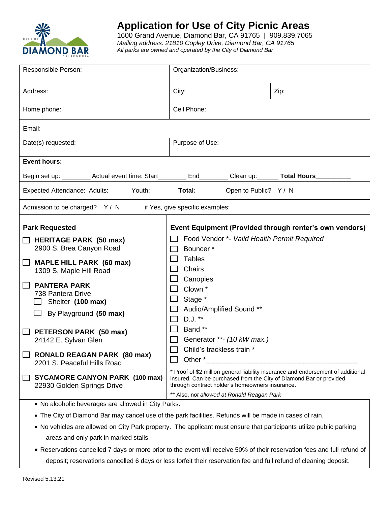

## **Application for Use of City Picnic Areas**

1600 Grand Avenue, Diamond Bar, CA 91765 | 909.839.7065 *Mailing address: 21810 Copley Drive, Diamond Bar, CA 91765 All parks are owned and operated by the City of Diamond Bar*

| Responsible Person:                                                                                                                                                                                                                                                                                                                       | Organization/Business:                                                                                                                                                                                                                                                                                                                      |      |  |  |
|-------------------------------------------------------------------------------------------------------------------------------------------------------------------------------------------------------------------------------------------------------------------------------------------------------------------------------------------|---------------------------------------------------------------------------------------------------------------------------------------------------------------------------------------------------------------------------------------------------------------------------------------------------------------------------------------------|------|--|--|
| Address:                                                                                                                                                                                                                                                                                                                                  | City:                                                                                                                                                                                                                                                                                                                                       | Zip: |  |  |
| Home phone:                                                                                                                                                                                                                                                                                                                               | Cell Phone:                                                                                                                                                                                                                                                                                                                                 |      |  |  |
| Email:                                                                                                                                                                                                                                                                                                                                    |                                                                                                                                                                                                                                                                                                                                             |      |  |  |
| Date(s) requested:                                                                                                                                                                                                                                                                                                                        | Purpose of Use:                                                                                                                                                                                                                                                                                                                             |      |  |  |
| <b>Event hours:</b>                                                                                                                                                                                                                                                                                                                       |                                                                                                                                                                                                                                                                                                                                             |      |  |  |
| Begin set up: __________ Actual event time: Start__________ End_________ Clean up: _______ Total Hours____                                                                                                                                                                                                                                |                                                                                                                                                                                                                                                                                                                                             |      |  |  |
| Expected Attendance: Adults:<br>Youth:                                                                                                                                                                                                                                                                                                    | Total:<br>Open to Public? Y / N                                                                                                                                                                                                                                                                                                             |      |  |  |
| Admission to be charged? Y / N<br>if Yes, give specific examples:                                                                                                                                                                                                                                                                         |                                                                                                                                                                                                                                                                                                                                             |      |  |  |
| $\Box$ HERITAGE PARK (50 max)<br>2900 S. Brea Canyon Road<br><b>MAPLE HILL PARK (60 max)</b><br>1309 S. Maple Hill Road<br><b>PANTERA PARK</b><br>738 Pantera Drive<br>Shelter (100 max)<br>By Playground (50 max)<br>PETERSON PARK (50 max)<br>24142 E. Sylvan Glen<br><b>RONALD REAGAN PARK (80 max)</b><br>2201 S. Peaceful Hills Road | Food Vendor *- Valid Health Permit Required<br>Bouncer*<br><b>Tables</b><br>Chairs<br>Canopies<br>Clown <sup>*</sup><br>Stage *<br>Audio/Amplified Sound **<br>D.J. **<br>Band **<br>Generator **- (10 kW max.)<br>Child's trackless train *<br>Other *<br>* Proof of \$2 million general liability insurance and endorsement of additional |      |  |  |
| <b>SYCAMORE CANYON PARK (100 max)</b><br>22930 Golden Springs Drive                                                                                                                                                                                                                                                                       | insured. Can be purchased from the City of Diamond Bar or provided<br>through contract holder's homeowners insurance.<br>** Also, not allowed at Ronald Reagan Park                                                                                                                                                                         |      |  |  |
| • No alcoholic beverages are allowed in City Parks.                                                                                                                                                                                                                                                                                       |                                                                                                                                                                                                                                                                                                                                             |      |  |  |

- The City of Diamond Bar may cancel use of the park facilities. Refunds will be made in cases of rain.
- No vehicles are allowed on City Park property. The applicant must ensure that participants utilize public parking areas and only park in marked stalls.
- Reservations cancelled 7 days or more prior to the event will receive 50% of their reservation fees and full refund of deposit; reservations cancelled 6 days or less forfeit their reservation fee and full refund of cleaning deposit.